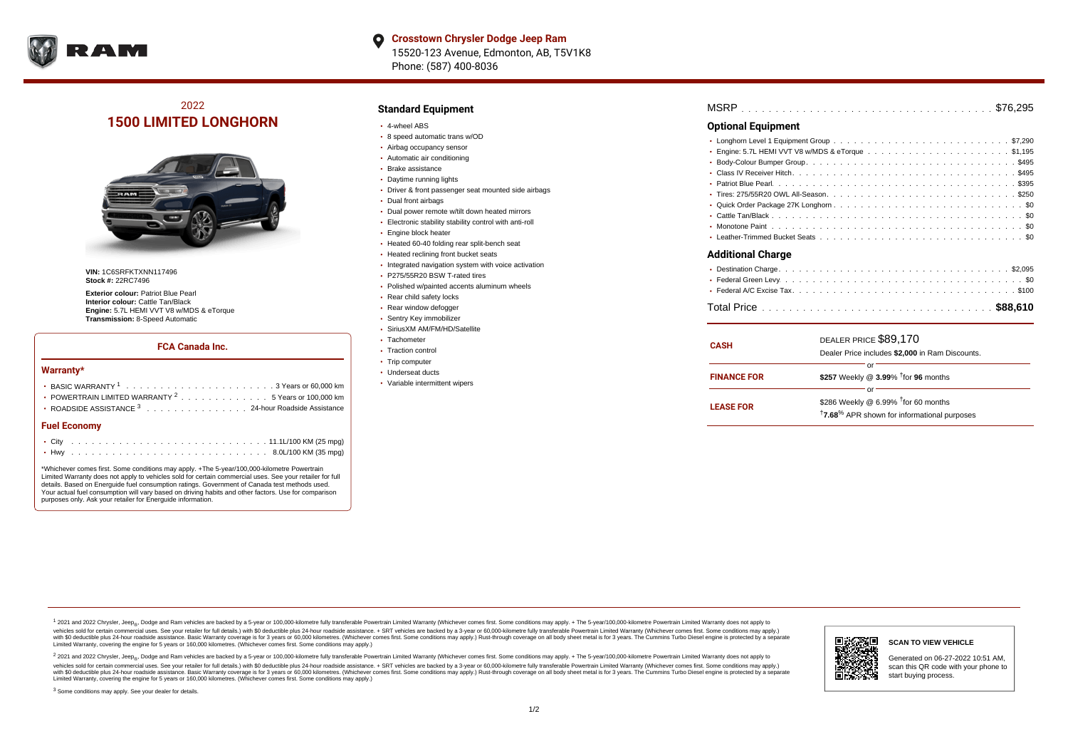

# 2022 **1500 LIMITED LONGHORN**



**VIN:** 1C6SRFKTXNN117496 **Stock #:** 22RC7496

**Exterior colour:** Patriot Blue Pearl **Interior colour:** Cattle Tan/Black **Engine:** 5.7L HEMI VVT V8 w/MDS & eTorque **Transmission:** 8-Speed Automatic

## **FCA Canada Inc.**

#### **Warranty\***

| • POWERTRAIN LIMITED WARRANTY $2, \ldots, \ldots, \ldots, \ldots, 5$ Years or 100,000 km |
|------------------------------------------------------------------------------------------|
| • ROADSIDE ASSISTANCE 3 24-hour Roadside Assistance                                      |
| <b>Fuel Economy</b>                                                                      |
|                                                                                          |

. . . . . . . . . . . . . . . . . . . . . . . . . . . . . . . . . . . . . . . . . . . Hwy 8.0L/100 KM (35 mpg) \*Whichever comes first. Some conditions may apply. +The 5-year/100,000-kilometre Powertrain Limited Warranty does not apply to vehicles sold for certain commercial uses. See your retailer for full details. Based on Energuide fuel consumption ratings. Government of Canada test methods used. Your actual fuel consumption will vary based on driving habits and other factors. Use for comparison

# **Standard Equipment**

- 4-wheel ABS
- 8 speed automatic trans w/OD
- Airbag occupancy sensor
- Automatic air conditioning Brake assistance
- Daytime running lights
- Driver & front passenger seat mounted side airbags
- Dual front airbags
- Dual power remote w/tilt down heated mirrors
- Electronic stability stability control with anti-roll
- **Engine block heater**
- Heated 60-40 folding rear split-bench seat
- Heated reclining front bucket seats
- Integrated navigation system with voice activation
- P275/55R20 BSW T-rated tires
- Polished w/painted accents aluminum wheels
- Rear child safety locks
- Rear window defogger
- Sentry Key immobilizer
- SiriusXM AM/FM/HD/Satellite
- Tachometer
- Traction control
- Trip computer
- Underseat ducts
- Variable intermittent wipers

| <b>Optional Equipment</b> |  |
|---------------------------|--|
|                           |  |

### **Additional Charge**

| <b>CASH</b>        | DEALER PRICE \$89,170<br>Dealer Price includes \$2,000 in Ram Discounts.                                                     |
|--------------------|------------------------------------------------------------------------------------------------------------------------------|
| <b>FINANCE FOR</b> | Ωľ<br>\$257 Weekly @ 3.99% <sup>t</sup> for 96 months                                                                        |
| <b>LEASE FOR</b>   | or<br>\$286 Weekly @ 6.99% <sup>1</sup> for 60 months<br><sup>†</sup> 7.68 <sup>%</sup> APR shown for informational purposes |

<sup>1</sup> 2021 and 2022 Chrysler, Jeep<sub>®</sub>, Dodge and Ram vehicles are backed by a 5-year or 100,000-kilometre fully transferable Powertrain Limited Warranty (Whichever comes first. Some conditions may apply. + The 5-year/100,000 vehicles sold for certain commercial uses. See your retailer for full details.) with \$0 deductible plus 24 hour roadside assistance. + SRT vehicles are backed by a 3-year or 60,000-kilometre fully transferable Powertrain L versus and contract the mean of the contract of the contract with a contract with a contract the contract of the contract of the contract the contract of the contract of the contract of the contract of the contract of the Limited Warranty, covering the engine for 5 years or 160,000 kilometres. (Whichever comes first. Some conditions may apply.)

2 2021 and 2022 Chrysler, Jeep<sub>®</sub>, Dodge and Ram vehicles are backed by a 5-year or 100,000-kilometre fully transferable Powertrain Limited Warranty (Whichever comes first. Some conditions may apply. + The 5-year/100,000-k vehicles sold for certain commercial uses. See your retailer for full details.) with SO deductible plus 24-hour roadside assistance. + SRT vehicles are backed by a 3-year or 60.000-kilometre fully transferable Powertrain L with S0 deductible plus 24-hour roadside assistance. Basic Warranty coverage is for 3 years or 60,000 kilometres. (Whichever comes first. Some conditions may apply.) Rust-through coverage on all body sheet metal is for 3 y



Generated on 06-27-2022 10:51 AM,

<sup>3</sup> Some conditions may apply. See your dealer for details.

purposes only. Ask your retailer for Energuide information.